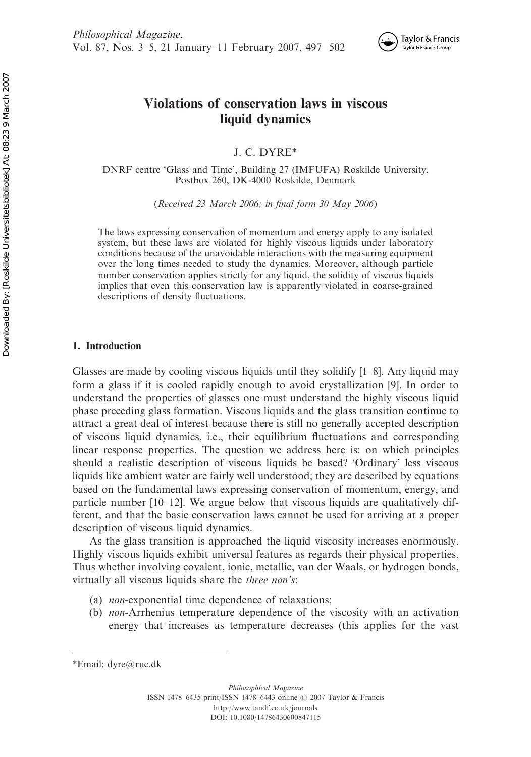

# Violations of conservation laws in viscous liquid dynamics

J. C. DYRE\*

DNRF centre 'Glass and Time', Building 27 (IMFUFA) Roskilde University, Postbox 260, DK-4000 Roskilde, Denmark

(Received 23 March 2006; in final form 30 May 2006)

The laws expressing conservation of momentum and energy apply to any isolated system, but these laws are violated for highly viscous liquids under laboratory conditions because of the unavoidable interactions with the measuring equipment over the long times needed to study the dynamics. Moreover, although particle number conservation applies strictly for any liquid, the solidity of viscous liquids implies that even this conservation law is apparently violated in coarse-grained descriptions of density fluctuations.

## 1. Introduction

Glasses are made by cooling viscous liquids until they solidify  $[1-8]$ . Any liquid may form a glass if it is cooled rapidly enough to avoid crystallization [9]. In order to understand the properties of glasses one must understand the highly viscous liquid phase preceding glass formation. Viscous liquids and the glass transition continue to attract a great deal of interest because there is still no generally accepted description of viscous liquid dynamics, i.e., their equilibrium fluctuations and corresponding linear response properties. The question we address here is: on which principles should a realistic description of viscous liquids be based? 'Ordinary' less viscous liquids like ambient water are fairly well understood; they are described by equations based on the fundamental laws expressing conservation of momentum, energy, and particle number  $[10-12]$ . We argue below that viscous liquids are qualitatively different, and that the basic conservation laws cannot be used for arriving at a proper description of viscous liquid dynamics.

As the glass transition is approached the liquid viscosity increases enormously. Highly viscous liquids exhibit universal features as regards their physical properties. Thus whether involving covalent, ionic, metallic, van der Waals, or hydrogen bonds, virtually all viscous liquids share the three non's:

- (a) non-exponential time dependence of relaxations;
- (b) non-Arrhenius temperature dependence of the viscosity with an activation energy that increases as temperature decreases (this applies for the vast

<sup>\*</sup>Email: dyre@ruc.dk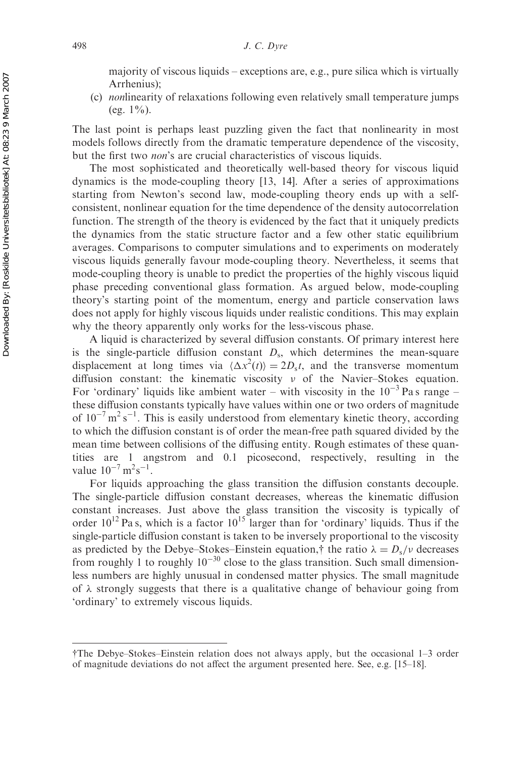majority of viscous liquids – exceptions are, e.g., pure silica which is virtually Arrhenius);

(c) nonlinearity of relaxations following even relatively small temperature jumps (eg.  $1\%$ ).

The last point is perhaps least puzzling given the fact that nonlinearity in most models follows directly from the dramatic temperature dependence of the viscosity, but the first two non's are crucial characteristics of viscous liquids.

The most sophisticated and theoretically well-based theory for viscous liquid dynamics is the mode-coupling theory [13, 14]. After a series of approximations starting from Newton's second law, mode-coupling theory ends up with a selfconsistent, nonlinear equation for the time dependence of the density autocorrelation function. The strength of the theory is evidenced by the fact that it uniquely predicts the dynamics from the static structure factor and a few other static equilibrium averages. Comparisons to computer simulations and to experiments on moderately viscous liquids generally favour mode-coupling theory. Nevertheless, it seems that mode-coupling theory is unable to predict the properties of the highly viscous liquid phase preceding conventional glass formation. As argued below, mode-coupling theory's starting point of the momentum, energy and particle conservation laws does not apply for highly viscous liquids under realistic conditions. This may explain why the theory apparently only works for the less-viscous phase.

A liquid is characterized by several diffusion constants. Of primary interest here is the single-particle diffusion constant  $D_s$ , which determines the mean-square displacement at long times via  $\langle \Delta x^2(t) \rangle = 2D_s t$ , and the transverse momentum diffusion constant: the kinematic viscosity  $\nu$  of the Navier–Stokes equation. For 'ordinary' liquids like ambient water – with viscosity in the  $10^{-3}$  Pa s range – these diffusion constants typically have values within one or two orders of magnitude of  $10^{-7}$  m<sup>2</sup> s<sup>-1</sup>. This is easily understood from elementary kinetic theory, according to which the diffusion constant is of order the mean-free path squared divided by the mean time between collisions of the diffusing entity. Rough estimates of these quantities are 1 angstrom and 0.1 picosecond, respectively, resulting in the value  $10^{-7} \text{ m}^2 \text{s}^{-1}$ .

For liquids approaching the glass transition the diffusion constants decouple. The single-particle diffusion constant decreases, whereas the kinematic diffusion constant increases. Just above the glass transition the viscosity is typically of order  $10^{12}$  Pa s, which is a factor  $10^{15}$  larger than for 'ordinary' liquids. Thus if the single-particle diffusion constant is taken to be inversely proportional to the viscosity as predicted by the Debye–Stokes–Einstein equation,† the ratio  $\lambda = D_s/v$  decreases from roughly 1 to roughly  $10^{-30}$  close to the glass transition. Such small dimensionless numbers are highly unusual in condensed matter physics. The small magnitude of  $\lambda$  strongly suggests that there is a qualitative change of behaviour going from 'ordinary' to extremely viscous liquids.

yThe Debye–Stokes–Einstein relation does not always apply, but the occasional 1–3 order of magnitude deviations do not affect the argument presented here. See, e.g. [15–18].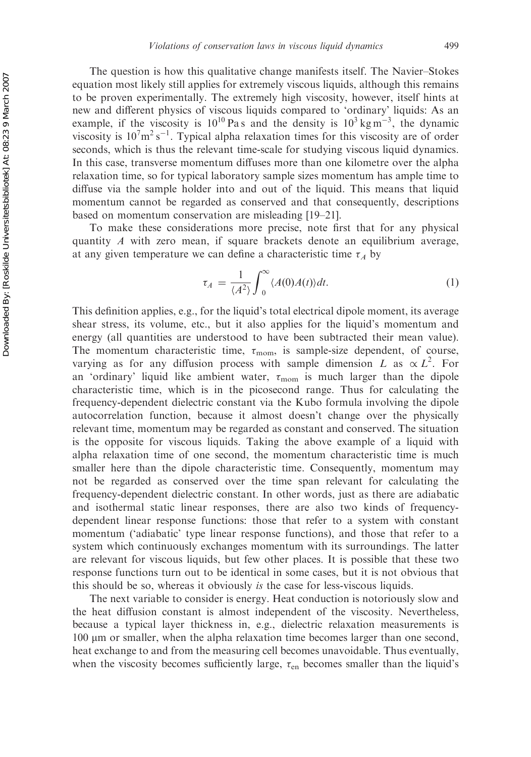The question is how this qualitative change manifests itself. The Navier–Stokes equation most likely still applies for extremely viscous liquids, although this remains to be proven experimentally. The extremely high viscosity, however, itself hints at new and different physics of viscous liquids compared to 'ordinary' liquids: As an example, if the viscosity is  $10^{10}$  Pas and the density is  $10^3$  kg m<sup>-3</sup>, the dynamic viscosity is  $10^7 \text{m}^2 \text{s}^{-1}$ . Typical alpha relaxation times for this viscosity are of order seconds, which is thus the relevant time-scale for studying viscous liquid dynamics. In this case, transverse momentum diffuses more than one kilometre over the alpha relaxation time, so for typical laboratory sample sizes momentum has ample time to diffuse via the sample holder into and out of the liquid. This means that liquid momentum cannot be regarded as conserved and that consequently, descriptions based on momentum conservation are misleading [19–21].

To make these considerations more precise, note first that for any physical quantity  $\Lambda$  with zero mean, if square brackets denote an equilibrium average, at any given temperature we can define a characteristic time  $\tau_A$  by

$$
\tau_A = \frac{1}{\langle A^2 \rangle} \int_0^\infty \langle A(0)A(t) \rangle dt. \tag{1}
$$

This definition applies, e.g., for the liquid's total electrical dipole moment, its average shear stress, its volume, etc., but it also applies for the liquid's momentum and energy (all quantities are understood to have been subtracted their mean value). The momentum characteristic time,  $\tau_{\text{mom}}$ , is sample-size dependent, of course, varying as for any diffusion process with sample dimension L as  $\propto L^2$ . For an 'ordinary' liquid like ambient water,  $\tau_{\text{mom}}$  is much larger than the dipole characteristic time, which is in the picosecond range. Thus for calculating the frequency-dependent dielectric constant via the Kubo formula involving the dipole autocorrelation function, because it almost doesn't change over the physically relevant time, momentum may be regarded as constant and conserved. The situation is the opposite for viscous liquids. Taking the above example of a liquid with alpha relaxation time of one second, the momentum characteristic time is much smaller here than the dipole characteristic time. Consequently, momentum may not be regarded as conserved over the time span relevant for calculating the frequency-dependent dielectric constant. In other words, just as there are adiabatic and isothermal static linear responses, there are also two kinds of frequencydependent linear response functions: those that refer to a system with constant momentum ('adiabatic' type linear response functions), and those that refer to a system which continuously exchanges momentum with its surroundings. The latter are relevant for viscous liquids, but few other places. It is possible that these two response functions turn out to be identical in some cases, but it is not obvious that this should be so, whereas it obviously is the case for less-viscous liquids.

The next variable to consider is energy. Heat conduction is notoriously slow and the heat diffusion constant is almost independent of the viscosity. Nevertheless, because a typical layer thickness in, e.g., dielectric relaxation measurements is 100 *m*m or smaller, when the alpha relaxation time becomes larger than one second, heat exchange to and from the measuring cell becomes unavoidable. Thus eventually, when the viscosity becomes sufficiently large,  $\tau_{en}$  becomes smaller than the liquid's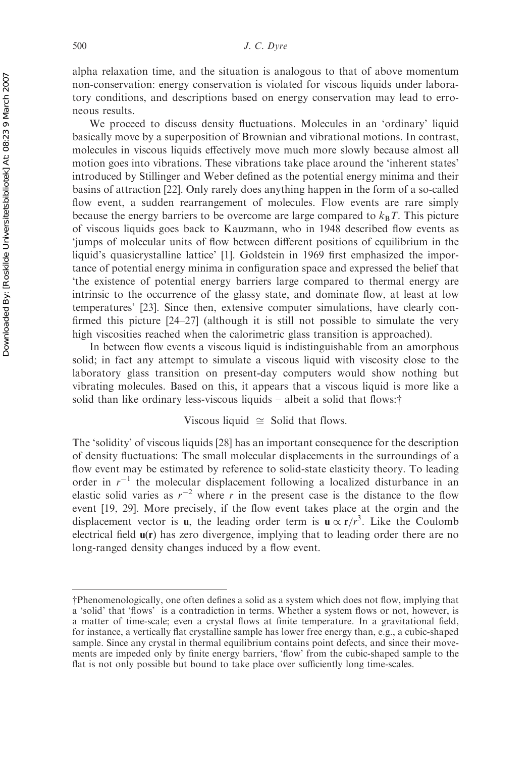alpha relaxation time, and the situation is analogous to that of above momentum non-conservation: energy conservation is violated for viscous liquids under laboratory conditions, and descriptions based on energy conservation may lead to erroneous results.

We proceed to discuss density fluctuations. Molecules in an 'ordinary' liquid basically move by a superposition of Brownian and vibrational motions. In contrast, molecules in viscous liquids effectively move much more slowly because almost all motion goes into vibrations. These vibrations take place around the 'inherent states' introduced by Stillinger and Weber defined as the potential energy minima and their basins of attraction [22]. Only rarely does anything happen in the form of a so-called flow event, a sudden rearrangement of molecules. Flow events are rare simply because the energy barriers to be overcome are large compared to  $k_B T$ . This picture of viscous liquids goes back to Kauzmann, who in 1948 described flow events as 'jumps of molecular units of flow between different positions of equilibrium in the liquid's quasicrystalline lattice' [1]. Goldstein in 1969 first emphasized the importance of potential energy minima in configuration space and expressed the belief that 'the existence of potential energy barriers large compared to thermal energy are intrinsic to the occurrence of the glassy state, and dominate flow, at least at low temperatures' [23]. Since then, extensive computer simulations, have clearly confirmed this picture [24–27] (although it is still not possible to simulate the very high viscosities reached when the calorimetric glass transition is approached).

In between flow events a viscous liquid is indistinguishable from an amorphous solid; in fact any attempt to simulate a viscous liquid with viscosity close to the laboratory glass transition on present-day computers would show nothing but vibrating molecules. Based on this, it appears that a viscous liquid is more like a solid than like ordinary less-viscous liquids – albeit a solid that flows: $\dagger$ 

## Viscous liquid  $\cong$  Solid that flows.

The 'solidity' of viscous liquids [28] has an important consequence for the description of density fluctuations: The small molecular displacements in the surroundings of a flow event may be estimated by reference to solid-state elasticity theory. To leading order in  $r^{-1}$  the molecular displacement following a localized disturbance in an elastic solid varies as  $r^{-2}$  where r in the present case is the distance to the flow event [19, 29]. More precisely, if the flow event takes place at the orgin and the displacement vector is **u**, the leading order term is  $\mathbf{u} \propto \mathbf{r}/r^3$ . Like the Coulomb electrical field  $u(r)$  has zero divergence, implying that to leading order there are no long-ranged density changes induced by a flow event.

yPhenomenologically, one often defines a solid as a system which does not flow, implying that a 'solid' that 'flows' is a contradiction in terms. Whether a system flows or not, however, is a matter of time-scale; even a crystal flows at finite temperature. In a gravitational field, for instance, a vertically flat crystalline sample has lower free energy than, e.g., a cubic-shaped sample. Since any crystal in thermal equilibrium contains point defects, and since their movements are impeded only by finite energy barriers, 'flow' from the cubic-shaped sample to the flat is not only possible but bound to take place over sufficiently long time-scales.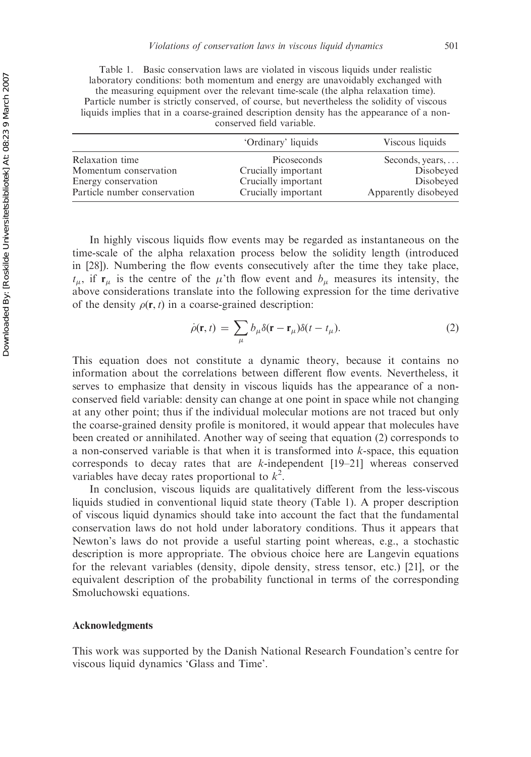Table 1. Basic conservation laws are violated in viscous liquids under realistic laboratory conditions: both momentum and energy are unavoidably exchanged with the measuring equipment over the relevant time-scale (the alpha relaxation time). Particle number is strictly conserved, of course, but nevertheless the solidity of viscous liquids implies that in a coarse-grained description density has the appearance of a nonconserved field variable.

|                              | 'Ordinary' liquids  | Viscous liquids         |
|------------------------------|---------------------|-------------------------|
| Relaxation time              | Picoseconds         | Seconds, years, $\dots$ |
| Momentum conservation        | Crucially important | Disobeyed               |
| Energy conservation          | Crucially important | Disobeyed               |
| Particle number conservation | Crucially important | Apparently disobeyed    |

In highly viscous liquids flow events may be regarded as instantaneous on the time-scale of the alpha relaxation process below the solidity length (introduced in [28]). Numbering the flow events consecutively after the time they take place,  $t_{\mu}$ , if  $\mathbf{r}_{\mu}$  is the centre of the  $\mu$ 'th flow event and  $b_{\mu}$  measures its intensity, the above considerations translate into the following expression for the time derivative of the density  $\rho(\mathbf{r}, t)$  in a coarse-grained description:

$$
\dot{\rho}(\mathbf{r},t) = \sum_{\mu} b_{\mu} \delta(\mathbf{r} - \mathbf{r}_{\mu}) \delta(t - t_{\mu}).
$$
\n(2)

This equation does not constitute a dynamic theory, because it contains no information about the correlations between different flow events. Nevertheless, it serves to emphasize that density in viscous liquids has the appearance of a nonconserved field variable: density can change at one point in space while not changing at any other point; thus if the individual molecular motions are not traced but only the coarse-grained density profile is monitored, it would appear that molecules have been created or annihilated. Another way of seeing that equation (2) corresponds to a non-conserved variable is that when it is transformed into k-space, this equation corresponds to decay rates that are k-independent [19–21] whereas conserved variables have decay rates proportional to  $k^2$ .

In conclusion, viscous liquids are qualitatively different from the less-viscous liquids studied in conventional liquid state theory (Table 1). A proper description of viscous liquid dynamics should take into account the fact that the fundamental conservation laws do not hold under laboratory conditions. Thus it appears that Newton's laws do not provide a useful starting point whereas, e.g., a stochastic description is more appropriate. The obvious choice here are Langevin equations for the relevant variables (density, dipole density, stress tensor, etc.) [21], or the equivalent description of the probability functional in terms of the corresponding Smoluchowski equations.

#### Acknowledgments

This work was supported by the Danish National Research Foundation's centre for viscous liquid dynamics 'Glass and Time'.